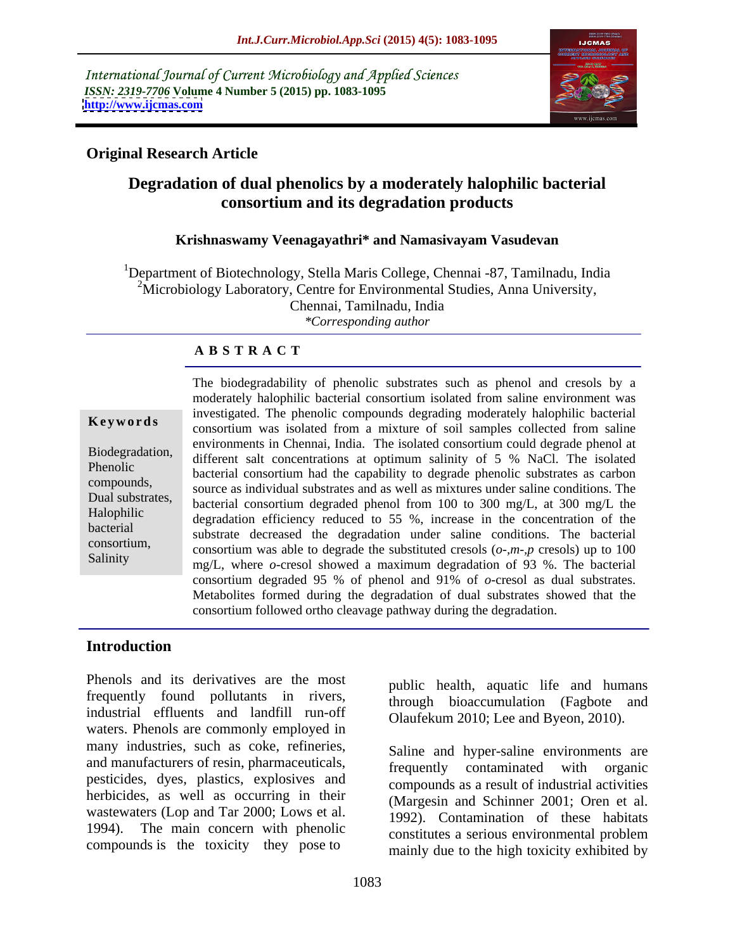International Journal of Current Microbiology and Applied Sciences *ISSN: 2319-7706* **Volume 4 Number 5 (2015) pp. 1083-1095 <http://www.ijcmas.com>**



## **Original Research Article**

## **Degradation of dual phenolics by a moderately halophilic bacterial consortium and its degradation products**

### **Krishnaswamy Veenagayathri\* and Namasivayam Vasudevan**

1Department of Biotechnology, Stella Maris College, Chennai -87, Tamilnadu, India <sup>2</sup>Microbiology Laboratory, Centre for Environmental Studies, Anna University, Chennai, Tamilnadu, India *\*Corresponding author*

### **A B S T R A C T**

Salinity

The biodegradability of phenolic substrates such as phenol and cresols by a moderately halophilic bacterial consortium isolated from saline environment was investigated. The phenolic compounds degrading moderately halophilic bacterial consortium was isolated from a mixture of soil samples collected from saline **Ke ywo rds** environments in Chennai, India. The isolated consortium could degrade phenol at Biodegradation, different salt concentrations at optimum salinity of 5 % NaCl. The isolated phenolic<br>bacterial consortium had the capability to degrade phenolic substrates as carbon source as individual substrates and as well as mixtures under saline conditions. The context substrates as early to depend the saline conditions. The Dual substrates,<br>bacterial consortium degraded phenol from 100 to 300 mg/L, at 300 mg/L the Halophilic degradation efficiency reduced to 55 %, increase in the concentration of the bacterial substrate decreased the degradation under saline conditions. The bacterial consortium, consortium was able to degrade the substituted cresols  $(o-m-p \text{ cresols})$  up to  $100$ mg/L, where *o*-cresol showed a maximum degradation of 93 %. The bacterial consortium degraded 95 % of phenol and 91% of *o*-cresol as dual substrates. Metabolites formed during the degradation of dual substrates showed that the consortium followed ortho cleavage pathway during the degradation.

## **Introduction**

Phenols and its derivatives are the most frequently found pollutants in rivers, industrial effluents and landfill run-off waters. Phenols are commonly employed in many industries, such as coke, refineries, and manufacturers of resin, pharmaceuticals,<br>
frequently contaminated with organic pesticides, dyes, plastics, explosives and herbicides, as well as occurring in their wastewaters (Lop and Tar 2000; Lows et al. 1994). The main concern with phenolic constitutes a serious environmental problem compounds is the toxicity they pose to

public health, aquatic life and humans through bioaccumulation (Fagbote and Olaufekum 2010; Lee and Byeon, 2010).

Saline and hyper-saline environments are frequently contaminated with organic compounds as a result of industrial activities (Margesin and Schinner 2001; Oren et al. 1992). Contamination of these habitats constitutes a serious environmental problem mainly due to the high toxicity exhibited by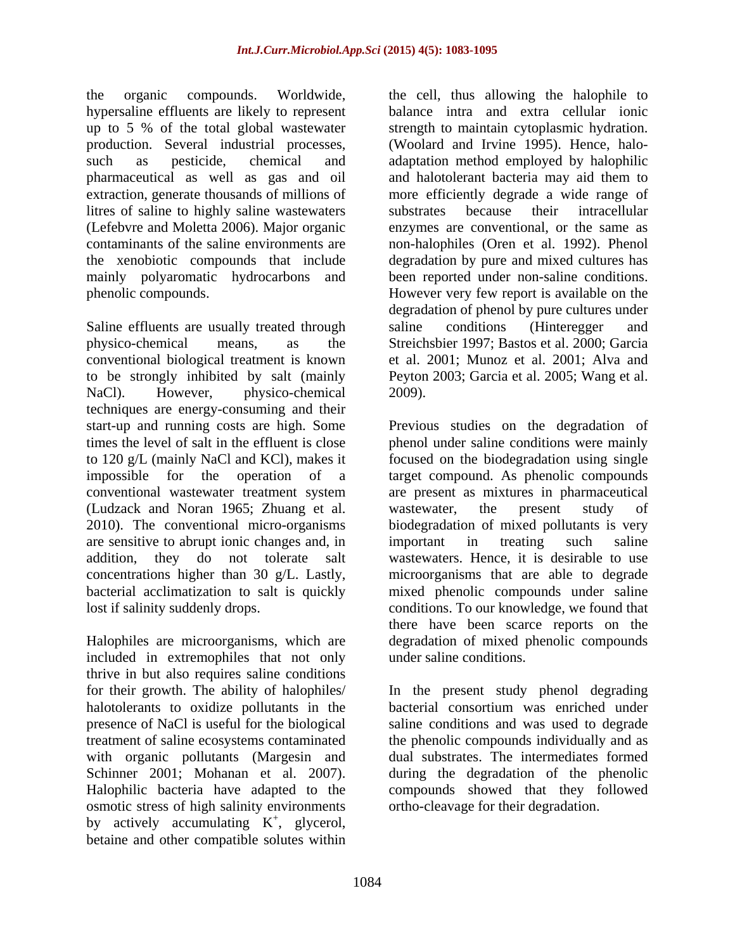the organic compounds. Worldwide, the cell, thus allowing the halophile to hypersaline effluents are likely to represent balance intra and extra cellular ionic up to 5 % of the total global wastewater strength to maintain cytoplasmic hydration. production. Several industrial processes, (Woolard and Irvine 1995). Hence, halo such as pesticide, chemical and adaptation method employed by halophilic pharmaceutical as well as gas and oil and halotolerant bacteria may aid them to extraction, generate thousands of millions of more efficiently degrade a wide range of litres of saline to highly saline wastewaters substrates because their intracellular (Lefebvre and Moletta 2006). Major organic enzymesare conventional, or the same as contaminants of the saline environments are non-halophiles (Oren et al. 1992). Phenol the xenobiotic compounds that include degradation by pure and mixed cultures has mainly polyaromatic hydrocarbons and been reported under non-saline conditions.

Saline effluents are usually treated through saline conditions (Hinteregger and physico-chemical means, as the Streichsbier 1997; Bastos et al. 2000; Garcia conventional biological treatment is known to be strongly inhibited by salt (mainly Peyton 2003; Garcia et al. 2005; Wang et al. NaCl). However, physico-chemical 2009). techniques are energy-consuming and their (Ludzack and Noran 1965; Zhuang et al. are sensitive to abrupt ionic changes and, in important in treating such saline

included in extremophiles that not only thrive in but also requires saline conditions halotolerants to oxidize pollutants in the bacterial consortium was enriched under with organic pollutants (Margesin and<br>Schinner 2001; Mohanan et al. 2007). osmotic stress of high salinity environments by actively accumulating  $K^+$ , glycerol,  $\frac{1}{2}$  olyoccol , glycerol, betaine and other compatible solutes within

phenolic compounds. However very few report is available on the substrates because their intracellular degradation of phenol by pure cultures under saline conditions (Hinteregger and et al. 2001; Munoz et al. 2001; Alva and 2009).

start-up and running costs are high. Some Previous studies on the degradation of times the level of salt in the effluent is close phenol under saline conditions were mainly to 120 g/L (mainly NaCl and KCl), makes it focused on the biodegradation using single impossible for the operation of a target compound. As phenolic compounds conventional wastewater treatment system are present as mixtures in pharmaceutical 2010). The conventional micro-organisms biodegradation of mixed pollutants is very addition, they do not tolerate salt wastewaters. Hence, it is desirable to use concentrations higher than 30 g/L. Lastly, microorganisms that are able to degrade bacterial acclimatization to salt is quickly mixed phenolic compounds under saline lost if salinity suddenly drops. conditions. To our knowledge, we found that Halophiles are microorganisms, which are degradation of mixed phenolic compounds wastewater, the present study of important in treating such saline there have been scarce reports on the under saline conditions.

for their growth. The ability of halophiles/ In the present study phenol degrading presence of NaCl is useful for the biological saline conditions and was used to degrade treatment of saline ecosystems contaminated the phenolic compounds individually and as Schinner 2001; Mohanan et al. 2007). during the degradation of the phenolic Halophilic bacteria have adapted to the compounds showed that they followed bacterial consortium was enriched under dual substrates.The intermediates formed ortho-cleavage for their degradation.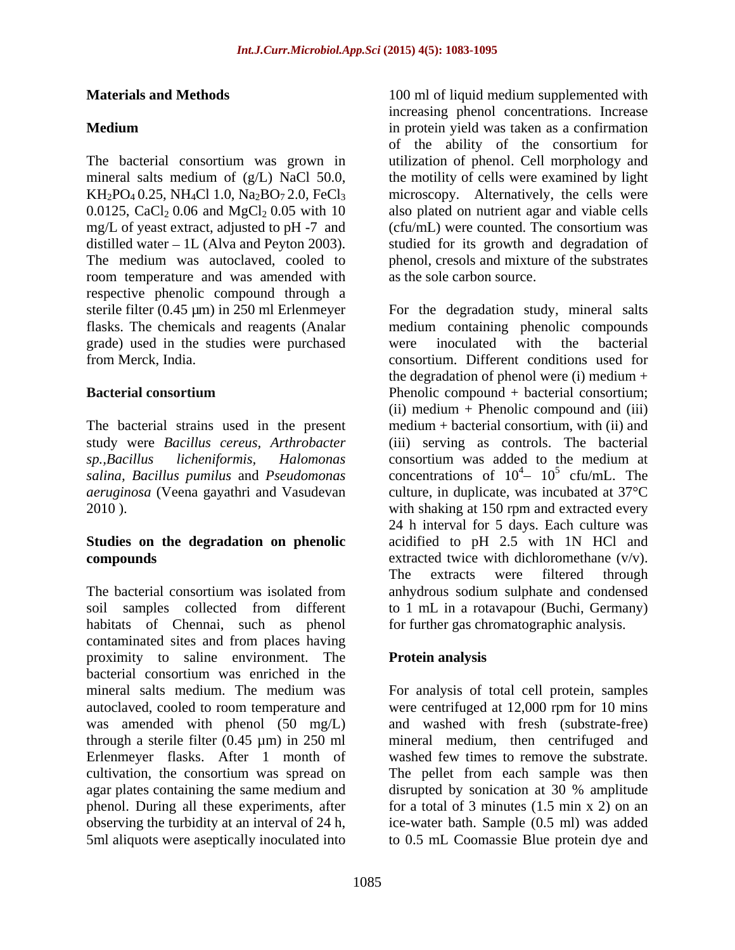mineral salts medium of (g/L) NaCl 50.0, mg/L of yeast extract, adjusted to pH -7 and (cfu/mL) were counted. The consortium was distilled water  $-1L$  (Alva and Peyton 2003). room temperature and was amended with respective phenolic compound through a grade) used in the studies were purchased

The bacterial strains used in the present *sp.,Bacillus licheniformis, Halomonas aeruginosa* (Veena gayathri and Vasudevan

habitats of Chennai, such as phenol contaminated sites and from places having proximity to saline environment. The bacterial consortium was enriched in the mineral salts medium. The medium was For analysis of total cell protein, samples autoclaved, cooled to room temperature and were centrifuged at 12,000 rpm for 10 mins was amended with phenol (50 mg/L) and washed with fresh (substrate-free) through a sterile filter  $(0.45 \mu m)$  in 250 ml Erlenmeyer flasks. After 1 month of cultivation, the consortium was spread on The pellet from each sample was then agar plates containing the same medium and phenol. During all these experiments, after for a total of 3 minutes (1.5 min x 2) on an observing the turbidity at an interval of 24 h, ice-water bath. Sample (0.5 ml) was added 5ml aliquots were aseptically inoculated into to 0.5 mL Coomassie Blue protein dye and

**Materials and Methods 100 ml** of liquid medium supplemented with **Medium**  in protein yield was taken as a confirmation The bacterial consortium was grown in utilization of phenol. Cell morphology and  $KH_2PO_4$  0.25, NH<sub>4</sub>Cl 1.0, Na<sub>2</sub>BO<sub>7</sub> 2.0, FeCl<sub>3</sub> microscopy. Alternatively, the cells were 0.0125, CaCl<sub>2</sub> 0.06 and MgCl<sub>2</sub> 0.05 with 10 also plated on nutrient agar and viable cells The medium was autoclaved, cooled to phenol, cresols and mixture of the substrates increasing phenol concentrations. Increase of the ability of the consortium for the motility of cells were examined by light (cfu/mL) were counted. The consortium was studied for its growth and degradation of as the sole carbon source.

sterile filter (0.45 µm) in 250 ml Erlenmeyer For the degradation study, mineral salts flasks. The chemicals and reagents (Analar medium containing phenolic compounds from Merck, India. consortium. Different conditions used for **Bacterial consortium** Phenolic compound + bacterial consortium; study were *Bacillus cereus, Arthrobacter* (iii) serving as controls. The bacterial *salina, Bacillus pumilus* and *Pseudomonas*  concentrations of 10 2010 ). with shaking at 150 rpm and extracted every **Studies on the degradation on phenolic** acidified to pH 2.5 with 1N HCl and **compounds** extracted twice with dichloromethane (v/v). The bacterial consortium was isolated from anhydrous sodium sulphate and condensed soil samples collected from different to 1 mL in a rotavapour (Buchi, Germany) were inoculated with the bacterial the degradation of phenol were  $(i)$  medium  $+$ (ii) medium + Phenolic compound and (iii) medium + bacterial consortium, with (ii) and consortium was added to the medium at  $\frac{4}{10^5}$  of  $mI$  The  $10^5$  cfu/mL. The  $5 \text{ of } m$  The cfu/mL. The culture, in duplicate, was incubated at 37°C 24 h interval for 5 days. Each culture was The extracts were filtered through for further gas chromatographic analysis.

## **Protein analysis**

mineral medium, then centrifuged and washed few times to remove the substrate. disrupted by sonication at 30 % amplitude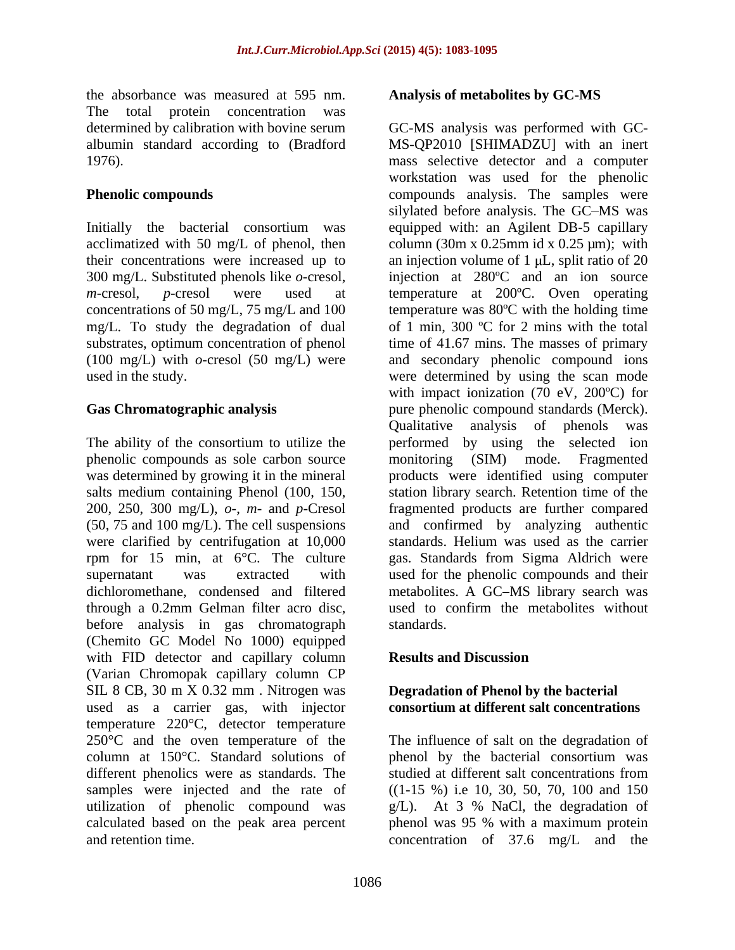the absorbance was measured at 595 nm. The total protein concentration was

their concentrations were increased up to mg/L. To study the degradation of dual

phenolic compounds as sole carbon source monitoring (SIM) mode. Fragmented through a 0.2mm Gelman filter acro disc, before analysis in gas chromatograph standards. (Chemito GC Model No 1000) equipped with FID detector and capillary column Results and Discussion (Varian Chromopak capillary column CP SIL 8 CB, 30 m X 0.32 mm . Nitrogen was used as a carrier gas, with injector temperature 220°C, detector temperature 250 °C and the oven temperature of the The influence of salt on the degradation of column at 150°C. Standard solutions of phenol by the bacterial consortium was different phenolics were as standards. The studied at different salt concentrations from samples were injected and the rate of utilization of phenolic compound was  $g/L$ ). At 3 % NaCl, the degradation of calculated based on the peak area percent phenol was95 % with a maximum protein and retention time. concentration of 37.6 mg/L and the

## **Analysis of metabolites by GC-MS**

determined by calibration with bovine serum GC-MS analysis was performed with GC albumin standard according to (Bradford MS-QP2010 [SHIMADZU] with an inert 1976). mass selective detector and a computer **Phenolic compounds Compounds Compounds** analysis. The samples were Initially the bacterial consortium was equipped with: an Agilent DB-5 capillary acclimatized with 50 mg/L of phenol, then column (30m x 0.25mm id x 0.25  $\mu$ m); with 300 mg/L. Substituted phenols like *o*-cresol, injection at 280ºC and an ion source *m*-cresol, *p*-cresol were used at temperature at 200ºC. Oven operating concentrations of 50 mg/L, 75 mg/L and 100 temperature was 80ºC with the holding time substrates, optimum concentration of phenol time of 41.67 mins. The masses of primary (100 mg/L) with *o*-cresol (50 mg/L) were and secondary phenolic compound ions used in the study. were determined by using the scan mode Gas Chromatographic analysis **Exercise 2018** pure phenolic compound standards (Merck). The ability of the consortium to utilize the performed by using the selected ion was determined by growing it in the mineral products were identified using computer salts medium containing Phenol (100, 150, station library search. Retention time of the 200, 250, 300 mg/L), *o*-, *m-* and *p*-Cresol fragmented products are further compared (50, 75 and 100 mg/L). The cell suspensions and confirmed by analyzing authentic were clarified by centrifugation at 10,000 standards. Helium was used as the carrier rpm for 15 min, at 6°C. The culture gas. Standards from Sigma Aldrich were supernatant was extracted with used for the phenolic compounds and their dichloromethane, condensed and filtered metabolites. A GC MS library search was workstation was used for the phenolic silylated before analysis. The GC-MS was an injection volume of  $1 \mu L$ , split ratio of  $20 \mu L$ of 1 min, 300  $\degree$ C for 2 mins with the total with impact ionization (70 eV, 200ºC) for Qualitative analysis of phenols was monitoring (SIM) mode. Fragmented used to confirm the metabolites without standards.

## **Results and Discussion**

## **Degradation of Phenol by the bacterial consortium at different salt concentrations**

studied at different salt concentrations from ((1-15 %) i.e 10, 30, 50, 70, 100 and 150 g/L). At 3 % NaCl, the degradation of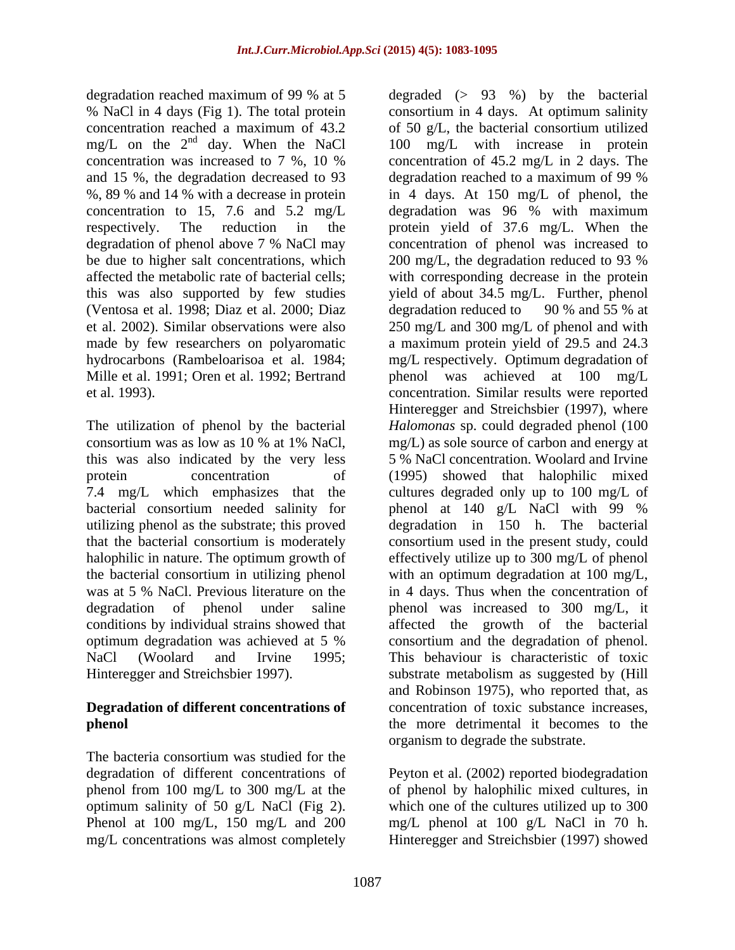degradation reached maximum of 99 % at 5 degraded (> 93 %) by the bacterial concentration was increased to 7 %, 10 % and 15 %, the degradation decreased to 93 degradation reached to a maximum of 99 % be due to higher salt concentrations, which 200 mg/L, the degradation reduced to 93 % (Ventosa et al. 1998; Diaz et al. 2000; Diaz

this was also indicated by the very less bacterial consortium needed salinity for phenol at 140 g/L NaCl with 99 %

# **Degradation of different concentrations of**

The bacteria consortium was studied for the

% NaCl in 4 days (Fig 1). The total protein consortium in 4 days. At optimum salinity concentration reached a maximum of 43.2 of 50 g/L, the bacterial consortium utilized mg/L on the  $2<sup>nd</sup>$  day. When the NaCl  $100$  mg/L with increase in protein %, 89 % and 14 % with a decrease in protein in 4 days. At 150 mg/L of phenol, the concentration to 15, 7.6 and 5.2 mg/L degradation was 96 % with maximum respectively. The reduction in the protein yield of 37.6 mg/L. When the degradation of phenol above 7 % NaCl may concentration of phenol was increased to affected the metabolic rate of bacterial cells; with corresponding decrease in the protein this was also supported by few studies yield of about 34.5 mg/L. Further, phenol et al. 2002). Similar observations were also 250 mg/L and 300 mg/L of phenol and with made by few researchers on polyaromatic a maximum protein yield of 29.5 and 24.3 hydrocarbons (Rambeloarisoa et al. 1984; mg/L respectively. Optimum degradation of Mille et al. 1991; Oren et al. 1992; Bertrand phenol was achieved at 100 mg/L et al. 1993). concentration. Similar results were reported The utilization of phenol by the bacterial *Halomonas* sp. could degraded phenol (100 consortium was as low as 10 % at 1% NaCl, protein concentration of (1995) showed that halophilic mixed 7.4 mg/L which emphasizes that the cultures degraded only up to 100 mg/L of utilizing phenol as the substrate; this proved degradation in 150 h. The bacterial that the bacterial consortium is moderately consortium used in the present study, could halophilic in nature. The optimum growth of effectively utilize up to 300 mg/L of phenol the bacterial consortium in utilizing phenol with an optimum degradation at 100 mg/L, was at 5 % NaCl. Previous literature on the in 4 days. Thus when the concentration of degradation of phenol under saline bhenol was increased to 300 mg/L, it conditions by individual strains showed that affected the growth of the bacterial optimum degradation was achieved at 5 % NaCl (Woolard and Irvine 1995; This behaviour is characteristic of toxic Hinteregger and Streichsbier 1997). substrate metabolism as suggested by (Hill **phenol**  the more detrimental it becomes to the concentration of 45.2 mg/L in 2 days. The degradation reached to a maximum of 99 % 200 mg/L, the degradation reduced to 93 % degradation reduced to 90 % and 55 % at Hinteregger and Streichsbier (1997), where mg/L) as sole source of carbon and energy at 5 % NaCl concentration. Woolard and Irvine phenol at 140 g/L NaCl with 99 % consortium and the degradation of phenol. and Robinson 1975), who reported that, as concentration of toxic substance increases, organism to degrade the substrate.

degradation of different concentrations of Peyton et al. (2002) reported biodegradation phenol from 100 mg/L to 300 mg/L at the of phenol by halophilic mixed cultures, in optimum salinity of 50 g/L NaCl (Fig 2). which one of the cultures utilized up to 300 Phenol at 100 mg/L, 150 mg/L and 200 mg/L phenol at 100 g/L NaCl in 70 h. mg/L concentrations was almost completely Hinteregger and Streichsbier (1997) showed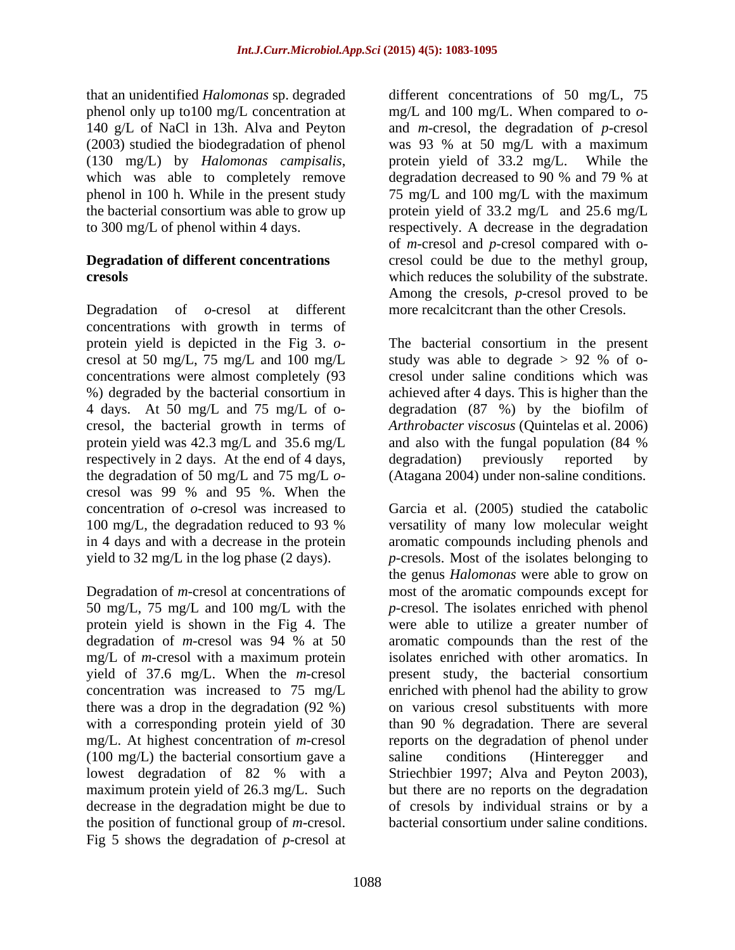that an unidentified *Halomonas* sp. degraded different concentrations of 50 mg/L, 75 140 g/L of NaCl in 13h. Alva and Peyton

Degradation of *o*-cresol at different more recalcitcrant than the other Cresols. concentrations with growth in terms of cresol at 50 mg/L, 75 mg/L and 100 mg/L study was able to degrade  $> 92$  % of oconcentrations were almost completely (93 %) degraded by the bacterial consortium in protein yield was 42.3 mg/L and 35.6 mg/L respectively in 2 days. At the end of 4 days, degradation) previously reported by cresol was 99 % and 95 %. When the

protein yield is shown in the Fig 4. The mg/L of *m-*cresol with a maximum protein there was a drop in the degradation (92 %) (100 mg/L) the bacterial consortium gave a saline conditions (Hinteregger and lowest degradation of  $82\%$  with a Striechbier 1997; Alva and Peyton 2003), the position of functional group of *m-*cresol. Fig 5 shows the degradation of *p*-cresol at

phenol only up to100 mg/L concentration at mg/L and 100 mg/L. When compared to *o-* (2003) studied the biodegradation of phenol was 93 % at 50 mg/L with a maximum (130 mg/L) by *Halomonas campisalis*, protein yield of 33.2 mg/L. While the which was able to completely remove degradation decreased to 90 % and 79 % at phenol in 100 h. While in the present study 75 mg/L and 100 mg/L with the maximum the bacterial consortium was able to grow up protein yield of 33.2 mg/L and 25.6 mg/L to 300 mg/L of phenol within 4 days. respectively. A decrease in the degradation **Degradation of different concentrations** cresol could be due to the methyl group, **cresols**  which reduces the solubility of the substrate. and *m-*cresol, the degradation of *p-*cresol protein yield of 33.2 mg/L. While the degradation decreased to 90 % and 79 % at of *m-*cresol and *p-*cresol compared with o- Among the cresols, *p-*cresol proved to be

protein yield is depicted in the Fig 3. *o*- The bacterial consortium in the present 4 days. At 50 mg/L and 75 mg/L of o- degradation (87 %) by the biofilm of cresol, the bacterial growth in terms of *Arthrobacter viscosus* (Quintelas et al. 2006) the degradation of 50 mg/L and 75 mg/L *o*- (Atagana 2004) under non-saline conditions. study was able to degrade > 92 % of o cresol under saline conditions which was achieved after 4 days. This is higher than the and also with the fungal population (84 % degradation) previously reported by

concentration of *o*-cresol was increased to Garcia et al. (2005) studied the catabolic 100 mg/L, the degradation reduced to 93 % versatility of many low molecular weight in 4 days and with a decrease in the protein aromatic compounds including phenols and yield to 32 mg/L in the log phase (2 days). *p-*cresols. Most of the isolates belonging to Degradation of *m*-cresol at concentrations of most of the aromatic compounds except for 50 mg/L, 75 mg/L and 100 mg/L with the *p-*cresol. The isolates enriched with phenol degradation of *m*-cresol was 94 % at 50 yield of 37.6 mg/L. When the *m-*cresol present study, the bacterial consortium concentration was increased to 75 mg/L enriched with phenol had the ability to grow with a corresponding protein yield of 30 than 90 % degradation. There are several mg/L. At highest concentration of *m-*cresol reports on the degradation of phenol under lowest degradation of 82 % with a maximum protein yield of 26.3 mg/L. Such but there are no reports on the degradation decrease in the degradation might be due to of cresols by individual strains or by a versatility of many low molecular weight the genus *Halomonas* were able to grow on were able to utilize a greater number of aromatic compounds than the rest of the isolates enriched with other aromatics. In on various cresol substituents with more saline conditions (Hinteregger and Striechbier 1997; Alva and Peyton 2003), bacterial consortium under saline conditions.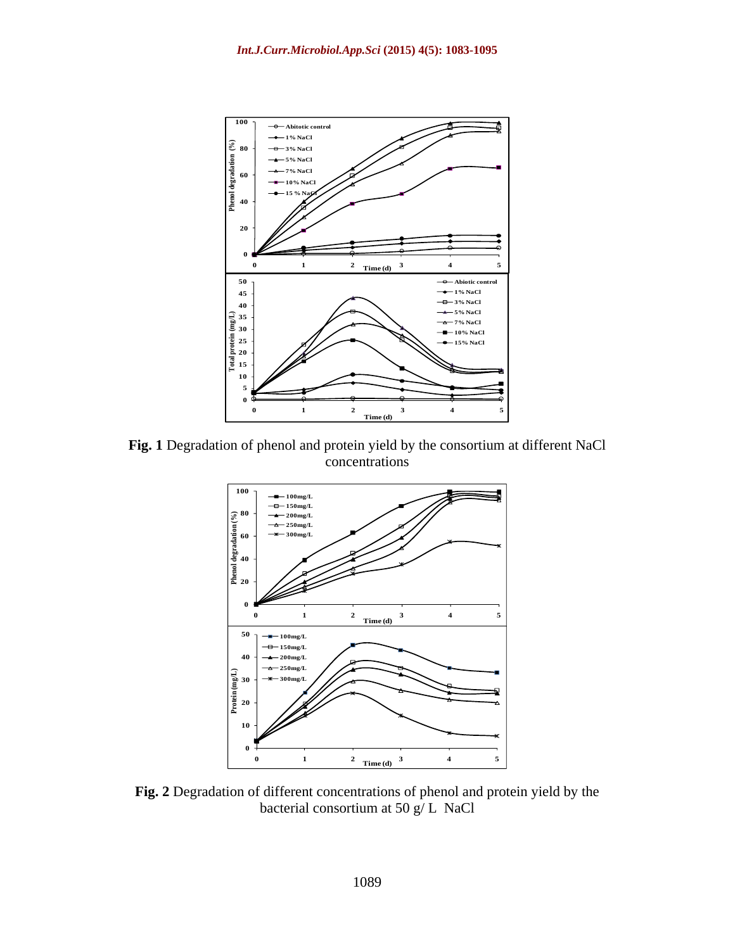

**Fig. 1** Degradation of phenol and protein yield by the consortium at different NaCl concentrations experience of the state of the state of the state of the state of the state of the state of the state of the state of the state of the state of the state of the state of the state of the state of the state o



**Fig. 2** Degradation of different concentrations of phenol and protein yield by the bacterial consortium at 50 g/ L NaCl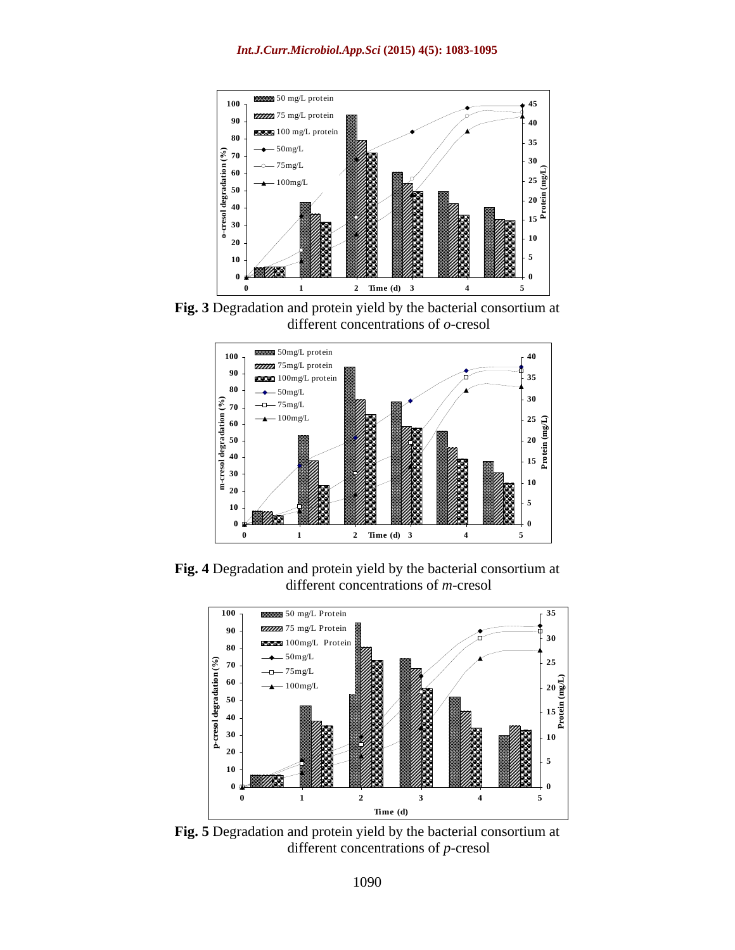

**Fig. 3** Degradation and protein yield by the bacterial consortium at different concentrations of *o-*cresol



**Fig. 4** Degradation and protein yield by the bacterial consortium at different concentrations of *m-*cresol



**Fig. 5** Degradation and protein yield by the bacterial consortium at different concentrations of *p-*cresol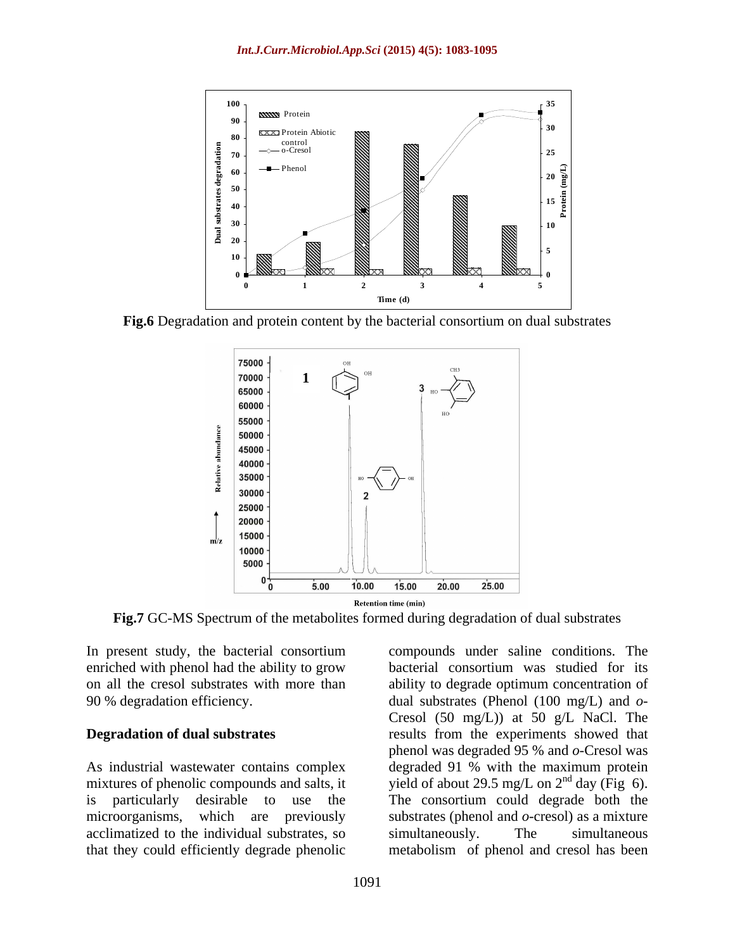

**Fig.6** Degradation and protein content by the bacterial consortium on dual substrates



**Fig.7** GC-MS Spectrum of the metabolites formed during degradation of dual substrates

acclimatized to the individual substrates, so

In present study, the bacterial consortium compounds under saline conditions. The enriched with phenol had the ability to grow bacterial consortium was studied for its on all the cresol substrates with more than ability to degrade optimum concentration of 90 % degradation efficiency. dual substrates (Phenol (100 mg/L) and *o*- **Degradation of dual substrates** results from the experiments showed that As industrial wastewater contains complex degraded 91 % with the maximum protein mixtures of phenolic compounds and salts, it yield of about 29.5 mg/L on  $2<sup>nd</sup>$  day (Fig 6). is particularly desirable to use the The consortium could degrade both the microorganisms, which are previously substrates (phenol and *o*-cresol) as a mixture that they could efficiently degrade phenolic metabolism of phenol and cresol has been Cresol (50 mg/L)) at 50 g/L NaCl. The phenol was degraded 95 % and *o*-Cresol was simultaneously. The simultaneous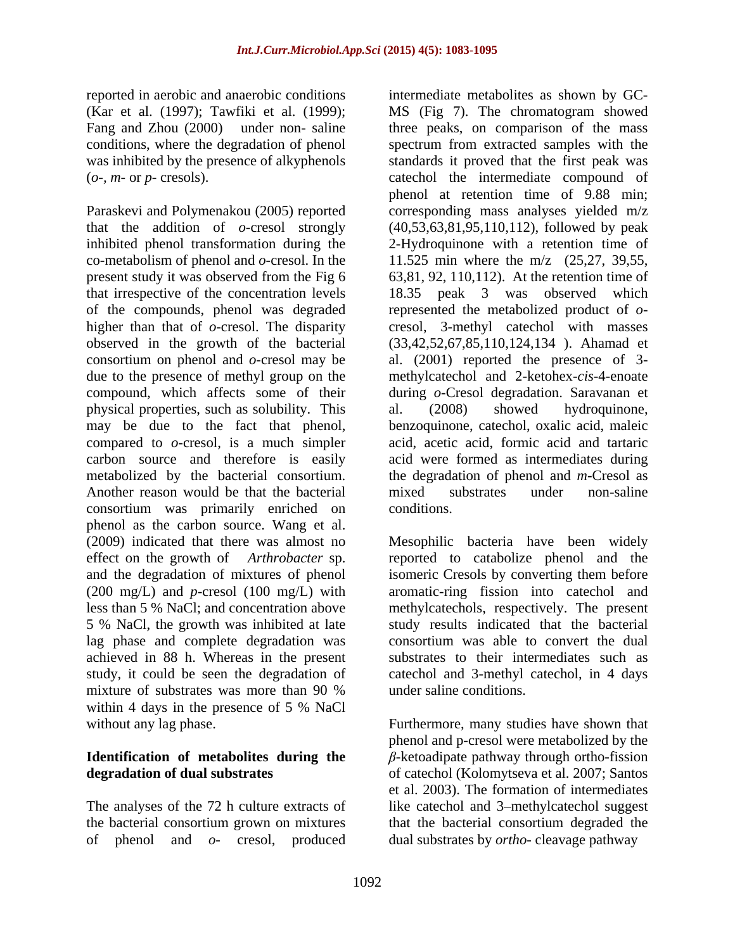reported in aerobic and anaerobic conditions intermediate metabolites as shown by GC- (Kar et al. (1997); Tawfiki et al. (1999);

co-metabolism of phenol and *o*-cresol. In the present study it was observed from the Fig 6 of the compounds, phenol was degraded physical properties, such as solubility. This al. (2008) showed hydroquinone, Another reason would be that the bacterial anixed substrates under non-saline consortium was primarily enriched on phenol as the carbon source. Wang et al. (2009) indicated that there was almost no Mesophilic bacteria have been widely effect on the growth of *Arthrobacter* sp. reported to catabolize phenol and the and the degradation of mixtures of phenol isomeric Cresols by converting them before (200 mg/L) and *p*-cresol (100 mg/L) with aromatic-ring fission into catechol and less than 5 % NaCl; and concentration above methylcatechols, respectively. The present 5 % NaCl, the growth was inhibited at late lag phase and complete degradation was achieved in 88 h. Whereas in the present study, it could be seen the degradation of catechol and 3-methyl catechol, in 4 days mixture of substrates was more than 90 % under saline conditions. within 4 days in the presence of 5 % NaCl without any lag phase. Furthermore, many studies have shown that

# **Identification** of **metabolites** during the  $\beta$ -ketoadipate pathway through ortho-fission

The analyses of the 72 h culture extracts of of phenol and *o-* cresol, produced

Fang and Zhou (2000) under non- saline three peaks, on comparison of the mass conditions, where the degradation of phenol spectrum from extracted samples with the was inhibited by the presence of alkyphenols standards it proved that the first peak was (*o-, m-* or *p-* cresols). catechol the intermediate compound of Paraskevi and Polymenakou (2005) reported corresponding mass analyses yielded m/z that the addition of *o*-cresol strongly (40,53,63,81,95,110,112), followed by peak inhibited phenol transformation during the 2-Hydroquinone with a retention time of that irrespective of the concentration levels 18.35 peak 3 was observed which higher than that of *o*-cresol. The disparity cresol, 3-methyl catechol with masses observed in the growth of the bacterial (33,42,52,67,85,110,124,134 ). Ahamad et consortium on phenol and *o*-cresol may be al. (2001) reported the presence of 3 due to the presence of methyl group on the methylcatechol and 2-ketohex-*cis*-4-enoate compound, which affects some of their during *o*-Cresol degradation. Saravanan et may be due to the fact that phenol, benzoquinone, catechol, oxalic acid, maleic compared to *o*-cresol, is a much simpler acid, acetic acid, formic acid and tartaric carbon source and therefore is easily acid were formed as intermediates during metabolized by the bacterial consortium. the degradation of phenol and *m*-Cresol as MS (Fig 7). The chromatogram showed phenol at retention time of 9.88 min; 11.525 min where the m/z (25,27, 39,55, 63,81, 92, 110,112). At the retention time of represented the metabolized product of *o* al. (2008) showed hydroquinone, mixed substrates under non-saline conditions.

> study results indicated that the bacterial consortium was able to convert the dual substrates to their intermediates such as under saline conditions.

**degradation of dual substrates**  of catechol (Kolomytseva et al. 2007; Santos the bacterial consortium grown on mixtures that the bacterial consortium degraded the phenol and p-cresol were metabolized by the  $\beta$ -ketoadipate pathway through ortho-fission et al. 2003). The formation of intermediates like catechol and 3-methylcatechol suggest dual substrates by *ortho*- cleavage pathway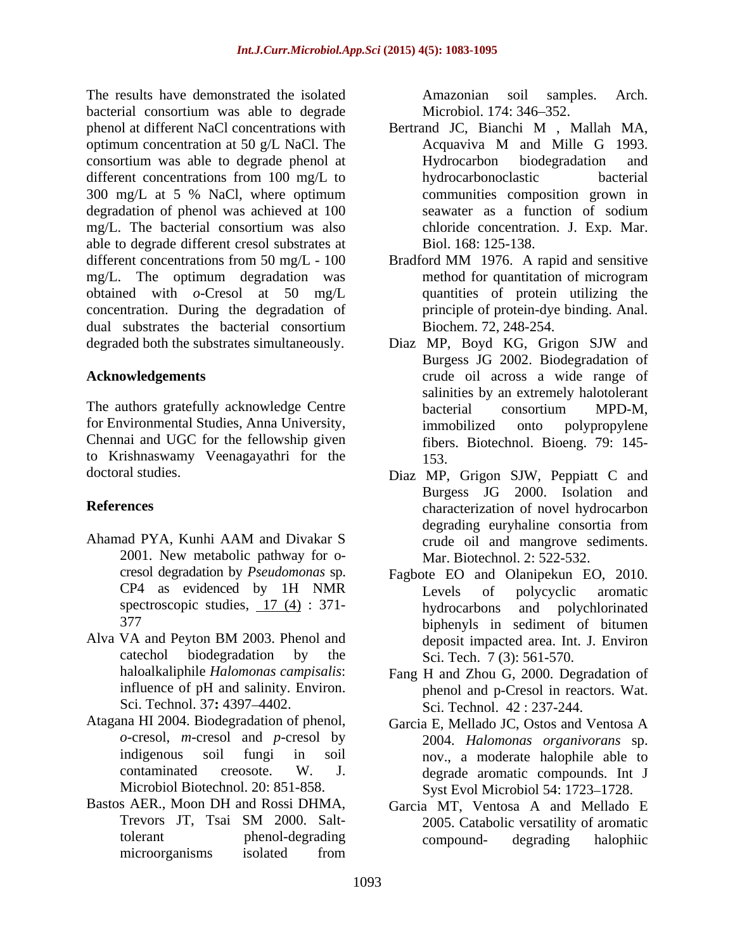The results have demonstrated the isolated **Amazonian** soil samples. Arch. bacterial consortium was able to degrade Microbiol. 174: 346–352. phenol at different NaCl concentrations with Bertrand JC, Bianchi M, Mallah MA, optimum concentration at 50 g/L NaCl. The Acquaviva M and Mille G 1993. consortium was able to degrade phenol at different concentrations from 100 mg/L to hydrocarbonoclastic bacterial 300 mg/L at 5 % NaCl, where optimum degradation of phenol was achieved at 100 seawater as a function of sodium mg/L. The bacterial consortium was also able to degrade different cresol substrates at different concentrations from 50 mg/L - 100 mg/L. The optimum degradation was method for quantitation of microgram obtained with *o*-Cresol at 50 mg/L concentration. During the degradation of degraded both the substrates simultaneously. Diaz MP, Boyd KG, Grigon SJW and

The authors gratefully acknowledge Centre bacterial consortium MPD-M. for Environmental Studies, Anna University, Chennai and UGC for the fellowship given to Krishnaswamy Veenagayathri for the

- 2001. New metabolic pathway for o-
- influence of pH and salinity. Environ. Sci. Technol. 37: 4397-4402.
- Atagana HI 2004. Biodegradation of phenol,
- Bastos AER., Moon DH and Rossi DHMA, Garcia MT, Ventosa A and Mellado E microorganisms isolated from

Amazonian soil samples. Arch. Microbiol. 174: 346–352.

- Bertrand JC, Bianchi M , Mallah MA, Acquaviva M and Mille G 1993. Hydrocarbon biodegradation and hydrocarbonoclastic bacterial communities composition grown in seawater as a function of sodium chloride concentration. J. Exp. Mar. Biol. 168: 125-138.
- dual substrates the bacterial consortium<br>Biochem. 72, 248-254. Bradford MM 1976. A rapid and sensitive method for quantitation of microgram quantities of protein utilizing the principle of protein-dye binding. Anal. Biochem. 72, 248-254.
- **Acknowledgements** crude oil across a wide range of Diaz MP, Boyd KG, Grigon SJW and Burgess JG 2002. Biodegradation of salinities by an extremely halotolerant bacterial consortium MPD-M, immobilized onto polypropylene fibers. Biotechnol. Bioeng. 79: 145- 153.
- doctoral studies. Diaz MP, Grigon SJW, Peppiatt C and **References** characterization of novel hydrocarbon Ahamad PYA, Kunhi AAM and Divakar S Burgess JG 2000. Isolation and degrading euryhaline consortia from crude oil and mangrove sediments. Mar. Biotechnol. 2: 522-532.
- cresol degradation by *Pseudomonas* sp. Fagbote EO and Olanipekun EO, 2010. CP4 as evidenced by 1H NMR spectroscopic studies,  $\frac{17}{4}$  (4) : 371-<br>hydrocarbons and polychlorinated 377 biphenyls in sediment of bitumen Alva VA and Peyton BM 2003. Phenol and deposit impacted area. Int. J. Environ catechol biodegradation by the  $\overline{S}$ ci. Tech.  $\overline{7}$  (3): 561-570. Levels of polycyclic aromatic hydrocarbons and polychlorinated deposit impacted area. Int. J. Environ Sci. Tech. 7 (3): 561-570.
	- haloalkaliphile *Halomonas campisalis*: Fang H and Zhou G, 2000. Degradation of phenol and p-Cresol in reactors. Wat. Sci. Technol. 42 : 237-244.
	- *o*-cresol, *m*-cresol and *p*-cresol by 2004. *Halomonas organivorans* sp. indigenous soil fungi in soil nov., a moderate halophile able to contaminated creosote. W. J. degrade aromatic compounds. Int J<br>Microbiol Biotechnol. 20: 851-858. Syst Evol Microbiol 54: 1723–1728. Garcia E, Mellado JC, Ostos and VentosaA degrade aromatic compounds. Int J Syst Evol Microbiol 54: 1723-1728.
	- Trevors JT, Tsai SM 2000. Salt-<br>2005. Catabolic versatility of aromatic tolerant phenol-degrading compound- degrading halophiic 2005. Catabolic versatility of aromatic compound- degrading halophiic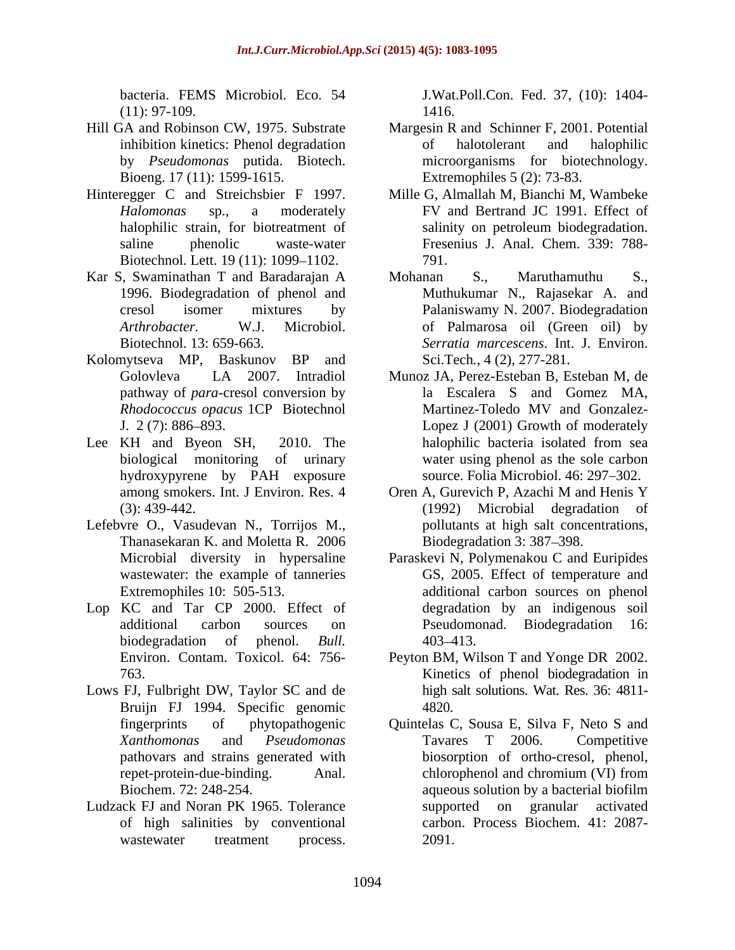bacteria. FEMS Microbiol. Eco. 54 J.Wat.Poll.Con. Fed. 37, (10): 1404-

- Bioeng. 17 (11): 1599-1615.
- Hinteregger C and Streichsbier F 1997. Biotechnol. Lett. 19 (11): 1099–1102. 791.
- Kar S, Swaminathan T and Baradarajan A 1996. Biodegradation of phenol and
- Kolomytseva MP, Baskunov BP and
- Lee KH and Byeon SH, 2010. The halophilic bacteria isolated from sea hydroxypyrene by PAH exposure
- Lefebvre O., Vasudevan N., Torrijos M., Thanasekaran K. and Moletta R. 2006
- Lop KC and Tar CP 2000. Effect of
- Lows FJ, Fulbright DW, Taylor SC and de Bruijn FJ 1994. Specific genomic 4820.
- of high salinities by conventional

 $(11): 97-109.$  1416. 1416.

- Hill GA and Robinson CW, 1975. Substrate Margesin R and Schinner F, 2001. Potential inhibition kinetics: Phenol degradation of halotolerant and halophilic by *Pseudomonas* putida. Biotech. microorganisms for biotechnology. of halotolerant and halophilic Extremophiles 5 (2): 73-83.
	- *Halomonas* sp., a moderately FV and Bertrand JC 1991. Effect of halophilic strain, for biotreatment of salinity on petroleum biodegradation. saline phenolic waste-water Fresenius J. Anal. Chem. 339: 788- Mille G, Almallah M, Bianchi M, Wambeke salinity on petroleum biodegradation. 791.
	- cresol isomer mixtures by Palaniswamy N. 2007. Biodegradation *Arthrobacter.* W.J. Microbiol. of Palmarosa oil (Green oil) by Biotechnol. 13: 659-663. *Serratia marcescens*. Int. J. Environ. Mohanan S., Maruthamuthu S., Muthukumar N., Rajasekar A. and Sci.Tech*.*, 4 (2), 277-281.
	- Golovleva LA 2007. Intradiol Munoz JA, Perez-Esteban B, Esteban M, de pathway of *para*-cresol conversion by la Escalera S and Gomez MA, *Rhodococcus opacus* 1CP Biotechnol J. 2 (7): 886 893. Lopez J (2001) Growth of moderately biological monitoring of urinary water using phenol as the sole carbon Martinez-Toledo MV and Gonzalez halophilic bacteria isolated from sea source. Folia Microbiol. 46: 297–302.
	- among smokers. Int. J Environ. Res. 4 Oren A, Gurevich P, Azachi M and Henis Y (3): 439-442. (1992) Microbial degradation of Oren A, Gurevich P, Azachi M and Henis Y pollutants at high salt concentrations, Biodegradation 3: 387–398.
	- Microbial diversity in hypersaline Paraskevi N, Polymenakou C and Euripides wastewater: the example of tanneries GS, 2005. Effect of temperature and Extremophiles 10: 505-513. additional carbon sources on phenol additional carbon sources on Pseudomonad. Biodegradation 16: biodegradation of phenol. *Bull.*  degradation by an indigenous soil 403 413.
	- Environ. Contam. Toxicol. 64: 756- Peyton BM, Wilson T and Yonge DR 2002. 763. Kinetics of phenol biodegradation in high salt solutions. Wat. Res. 36: 4811- 4820.
- fingerprints of phytopathogenic Quintelas C, Sousa E, Silva F, Neto S and *Xanthomonas* and *Pseudomonas* pathovars and strains generated with biosorption of ortho-cresol, phenol, repet-protein-due-binding. Anal. chlorophenol and chromium (VI) from Biochem. 72: 248-254. aqueous solution by a bacterial biofilm Ludzack FJ and Noran PK 1965. Tolerance wastewater treatment process. 2091. Tavares T 2006. Competitive chlorophenol and chromium (VI) from supported on granular activated carbon. Process Biochem. 41: 2087- 2091.